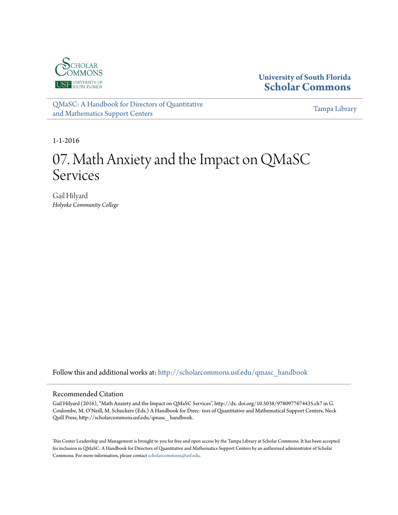

# **University of South Florida [Scholar Commons](http://scholarcommons.usf.edu?utm_source=scholarcommons.usf.edu%2Fqmasc_handbook%2F7&utm_medium=PDF&utm_campaign=PDFCoverPages)**

[QMaSC: A Handbook for Directors of Quantitative](http://scholarcommons.usf.edu/qmasc_handbook?utm_source=scholarcommons.usf.edu%2Fqmasc_handbook%2F7&utm_medium=PDF&utm_campaign=PDFCoverPages) [and Mathematics Support Centers](http://scholarcommons.usf.edu/qmasc_handbook?utm_source=scholarcommons.usf.edu%2Fqmasc_handbook%2F7&utm_medium=PDF&utm_campaign=PDFCoverPages)

[Tampa Library](http://scholarcommons.usf.edu/tlib?utm_source=scholarcommons.usf.edu%2Fqmasc_handbook%2F7&utm_medium=PDF&utm_campaign=PDFCoverPages)

1-1-2016

# 07. Math Anxiety and the Impact on QMaSC Services

Gail Hilyard *Holyoke Community College*

Follow this and additional works at: [http://scholarcommons.usf.edu/qmasc\\_handbook](http://scholarcommons.usf.edu/qmasc_handbook?utm_source=scholarcommons.usf.edu%2Fqmasc_handbook%2F7&utm_medium=PDF&utm_campaign=PDFCoverPages)

#### Recommended Citation

Gail Hilyard (2016), "Math Anxiety and the Impact on QMaSC Services", http://dx. doi.org/10.5038/9780977674435.ch7 in G. Coulombe, M. O'Neill, M. Schuckers (Eds.) A Handbook for Direc- tors of Quantitative and Mathematical Support Centers, Neck Quill Press, http://scholarcommons.usf.edu/qmasc\_ handbook.

This Center Leadership and Management is brought to you for free and open access by the Tampa Library at Scholar Commons. It has been accepted for inclusion in QMaSC: A Handbook for Directors of Quantitative and Mathematics Support Centers by an authorized administrator of Scholar Commons. For more information, please contact [scholarcommons@usf.edu](mailto:scholarcommons@usf.edu).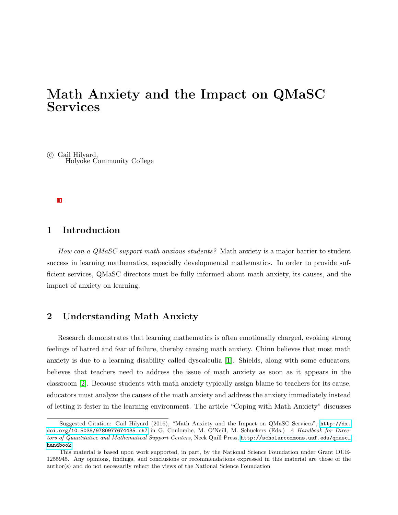# Math Anxiety and the Impact on QMaSC Services

 c Gail Hilyard, Holyoke Community College

# 1 Introduction

How can a QMaSC support math anxious students? Math anxiety is a major barrier to student success in learning mathematics, especially developmental mathematics. In order to provide sufficient services, QMaSC directors must be fully informed about math anxiety, its causes, and the impact of anxiety on learning.

# 2 Understanding Math Anxiety

Research demonstrates that learning mathematics is often emotionally charged, evoking strong feelings of hatred and fear of failure, thereby causing math anxiety. Chinn believes that most math anxiety is due to a learning disability called dyscalculia [1]. Shields, along with some educators, believes that teachers need to address the issue of math anxiety as soon as it appears in the classroom [2]. Because students with math anxiety typically assign blame to teachers for its cause, educators must analyze the causes of the math anxiety and address the anxiety immediately instead of letting it fester in the learning environment. The article "Coping with Math Anxiety" discusses

Suggested Citation: Gail Hilyard (2016), "Math Anxiety and the Impact on QMaSC Services", [http://dx.](http://dx.doi.org/10.5038/9780977674435.ch7) [doi.org/10.5038/9780977674435.ch7](http://dx.doi.org/10.5038/9780977674435.ch7) in G. Coulombe, M. O'Neill, M. Schuckers (Eds.) A Handbook for Directors of Quantitative and Mathematical Support Centers, Neck Quill Press, [http://scholarcommons.usf.edu/qmasc\\_](http://scholarcommons.usf.edu/qmasc_handbook) [handbook](http://scholarcommons.usf.edu/qmasc_handbook).

This material is based upon work supported, in part, by the National Science Foundation under Grant DUE-1255945. Any opinions, findings, and conclusions or recommendations expressed in this material are those of the author(s) and do not necessarily reflect the views of the National Science Foundation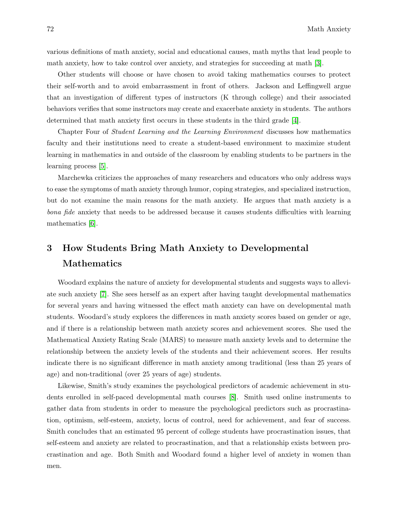various definitions of math anxiety, social and educational causes, math myths that lead people to math anxiety, how to take control over anxiety, and strategies for succeeding at math [3].

Other students will choose or have chosen to avoid taking mathematics courses to protect their self-worth and to avoid embarrassment in front of others. Jackson and Leffingwell argue that an investigation of different types of instructors (K through college) and their associated behaviors verifies that some instructors may create and exacerbate anxiety in students. The authors determined that math anxiety first occurs in these students in the third grade [4].

Chapter Four of Student Learning and the Learning Environment discusses how mathematics faculty and their institutions need to create a student-based environment to maximize student learning in mathematics in and outside of the classroom by enabling students to be partners in the learning process [5].

Marchewka criticizes the approaches of many researchers and educators who only address ways to ease the symptoms of math anxiety through humor, coping strategies, and specialized instruction, but do not examine the main reasons for the math anxiety. He argues that math anxiety is a bona fide anxiety that needs to be addressed because it causes students difficulties with learning mathematics [6].

# 3 How Students Bring Math Anxiety to Developmental **Mathematics**

Woodard explains the nature of anxiety for developmental students and suggests ways to alleviate such anxiety [7]. She sees herself as an expert after having taught developmental mathematics for several years and having witnessed the effect math anxiety can have on developmental math students. Woodard's study explores the differences in math anxiety scores based on gender or age, and if there is a relationship between math anxiety scores and achievement scores. She used the Mathematical Anxiety Rating Scale (MARS) to measure math anxiety levels and to determine the relationship between the anxiety levels of the students and their achievement scores. Her results indicate there is no significant difference in math anxiety among traditional (less than 25 years of age) and non-traditional (over 25 years of age) students.

Likewise, Smith's study examines the psychological predictors of academic achievement in students enrolled in self-paced developmental math courses [8]. Smith used online instruments to gather data from students in order to measure the psychological predictors such as procrastination, optimism, self-esteem, anxiety, locus of control, need for achievement, and fear of success. Smith concludes that an estimated 95 percent of college students have procrastination issues, that self-esteem and anxiety are related to procrastination, and that a relationship exists between procrastination and age. Both Smith and Woodard found a higher level of anxiety in women than men.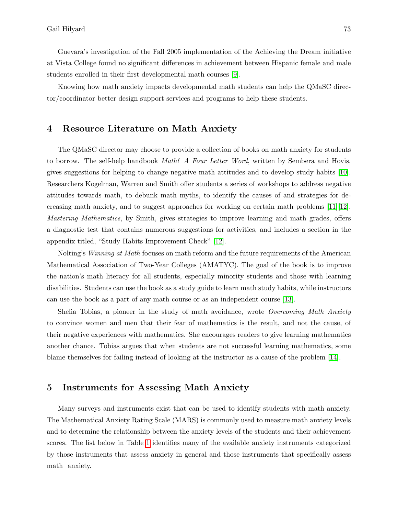Guevara's investigation of the Fall 2005 implementation of the Achieving the Dream initiative at Vista College found no significant differences in achievement between Hispanic female and male students enrolled in their first developmental math courses [9].

Knowing how math anxiety impacts developmental math students can help the QMaSC director/coordinator better design support services and programs to help these students.

# 4 Resource Literature on Math Anxiety

The QMaSC director may choose to provide a collection of books on math anxiety for students to borrow. The self-help handbook *Math! A Four Letter Word*, written by Sembera and Hovis, gives suggestions for helping to change negative math attitudes and to develop study habits [10]. Researchers Kogelman, Warren and Smith offer students a series of workshops to address negative attitudes towards math, to debunk math myths, to identify the causes of and strategies for decreasing math anxiety, and to suggest approaches for working on certain math problems [11][12]. Mastering Mathematics, by Smith, gives strategies to improve learning and math grades, offers a diagnostic test that contains numerous suggestions for activities, and includes a section in the appendix titled, "Study Habits Improvement Check" [12].

Nolting's Winning at Math focuses on math reform and the future requirements of the American Mathematical Association of Two-Year Colleges (AMATYC). The goal of the book is to improve the nation's math literacy for all students, especially minority students and those with learning disabilities. Students can use the book as a study guide to learn math study habits, while instructors can use the book as a part of any math course or as an independent course [13].

Shelia Tobias, a pioneer in the study of math avoidance, wrote *Overcoming Math Anxiety* to convince women and men that their fear of mathematics is the result, and not the cause, of their negative experiences with mathematics. She encourages readers to give learning mathematics another chance. Tobias argues that when students are not successful learning mathematics, some blame themselves for failing instead of looking at the instructor as a cause of the problem [14].

# 5 Instruments for Assessing Math Anxiety

Many surveys and instruments exist that can be used to identify students with math anxiety. The Mathematical Anxiety Rating Scale (MARS) is commonly used to measure math anxiety levels and to determine the relationship between the anxiety levels of the students and their achievement scores. The list below in Table 1 identifies many of the available anxiety instruments categorized by those instruments that assess anxiety in general and those instruments that specifically assess math anxiety.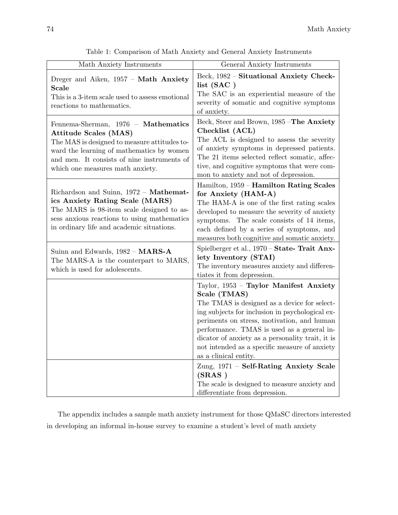| Math Anxiety Instruments                                                                                                                                                                                                                            | General Anxiety Instruments                                                                                                                                                                                                                                                                                                                                                                                                             |  |  |
|-----------------------------------------------------------------------------------------------------------------------------------------------------------------------------------------------------------------------------------------------------|-----------------------------------------------------------------------------------------------------------------------------------------------------------------------------------------------------------------------------------------------------------------------------------------------------------------------------------------------------------------------------------------------------------------------------------------|--|--|
| Dreger and Aiken, 1957 - Math Anxiety<br>Scale<br>This is a 3-item scale used to assess emotional<br>reactions to mathematics.                                                                                                                      | Beck, 1982 - Situational Anxiety Check-<br>list (SAC)<br>The SAC is an experiential measure of the<br>severity of somatic and cognitive symptoms<br>of anxiety.                                                                                                                                                                                                                                                                         |  |  |
| Fennema-Sherman, 1976 - Mathematics<br><b>Attitude Scales (MAS)</b><br>The MAS is designed to measure attitudes to-<br>ward the learning of mathematics by women<br>and men. It consists of nine instruments of<br>which one measures math anxiety. | Beck, Steer and Brown, 1985 -The Anxiety<br>Checklist (ACL)<br>The ACL is designed to assess the severity<br>of anxiety symptoms in depressed patients.<br>The 21 items selected reflect somatic, affec-<br>tive, and cognitive symptoms that were com-<br>mon to anxiety and not of depression.                                                                                                                                        |  |  |
| Richardson and Suinn, 1972 - Mathemat-<br>ics Anxiety Rating Scale (MARS)<br>The MARS is 98-item scale designed to as-<br>sess anxious reactions to using mathematics<br>in ordinary life and academic situations.                                  | Hamilton, 1959 - Hamilton Rating Scales<br>for Anxiety (HAM-A)<br>The HAM-A is one of the first rating scales<br>developed to measure the severity of anxiety<br>symptoms. The scale consists of 14 items,<br>each defined by a series of symptoms, and<br>measures both cognitive and somatic anxiety.                                                                                                                                 |  |  |
| Suinn and Edwards, $1982 - MARS-A$<br>The MARS-A is the counterpart to MARS,<br>which is used for adolescents.                                                                                                                                      | Spielberger et al., 1970 - State- Trait Anx-<br>iety Inventory (STAI)<br>The inventory measures anxiety and differen-<br>tiates it from depression.                                                                                                                                                                                                                                                                                     |  |  |
|                                                                                                                                                                                                                                                     | Taylor, 1953 - Taylor Manifest Anxiety<br>Scale (TMAS)<br>The TMAS is designed as a device for select-<br>ing subjects for inclusion in psychological ex-<br>periments on stress, motivation, and human<br>performance. TMAS is used as a general in-<br>dicator of anxiety as a personality trait, it is<br>not intended as a specific measure of anxiety<br>as a clinical entity.<br>Zung, 1971 - Self-Rating Anxiety Scale<br>(SRAS) |  |  |
|                                                                                                                                                                                                                                                     | The scale is designed to measure anxiety and<br>differentiate from depression.                                                                                                                                                                                                                                                                                                                                                          |  |  |

Table 1: Comparison of Math Anxiety and General Anxiety Instruments

The appendix includes a sample math anxiety instrument for those QMaSC directors interested in developing an informal in-house survey to examine a student's level of math anxiety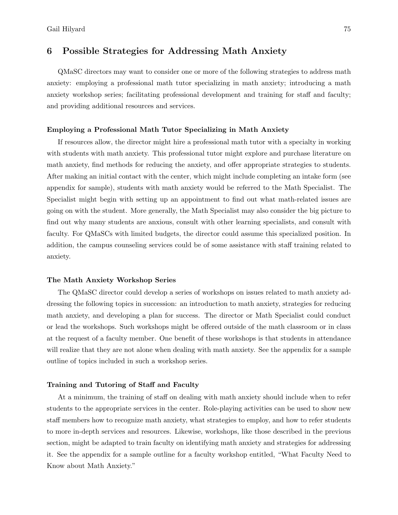# 6 Possible Strategies for Addressing Math Anxiety

QMaSC directors may want to consider one or more of the following strategies to address math anxiety: employing a professional math tutor specializing in math anxiety; introducing a math anxiety workshop series; facilitating professional development and training for staff and faculty; and providing additional resources and services.

#### Employing a Professional Math Tutor Specializing in Math Anxiety

If resources allow, the director might hire a professional math tutor with a specialty in working with students with math anxiety. This professional tutor might explore and purchase literature on math anxiety, find methods for reducing the anxiety, and offer appropriate strategies to students. After making an initial contact with the center, which might include completing an intake form (see appendix for sample), students with math anxiety would be referred to the Math Specialist. The Specialist might begin with setting up an appointment to find out what math-related issues are going on with the student. More generally, the Math Specialist may also consider the big picture to find out why many students are anxious, consult with other learning specialists, and consult with faculty. For QMaSCs with limited budgets, the director could assume this specialized position. In addition, the campus counseling services could be of some assistance with staff training related to anxiety.

#### The Math Anxiety Workshop Series

The QMaSC director could develop a series of workshops on issues related to math anxiety addressing the following topics in succession: an introduction to math anxiety, strategies for reducing math anxiety, and developing a plan for success. The director or Math Specialist could conduct or lead the workshops. Such workshops might be offered outside of the math classroom or in class at the request of a faculty member. One benefit of these workshops is that students in attendance will realize that they are not alone when dealing with math anxiety. See the appendix for a sample outline of topics included in such a workshop series.

#### Training and Tutoring of Staff and Faculty

At a minimum, the training of staff on dealing with math anxiety should include when to refer students to the appropriate services in the center. Role-playing activities can be used to show new staff members how to recognize math anxiety, what strategies to employ, and how to refer students to more in-depth services and resources. Likewise, workshops, like those described in the previous section, might be adapted to train faculty on identifying math anxiety and strategies for addressing it. See the appendix for a sample outline for a faculty workshop entitled, "What Faculty Need to Know about Math Anxiety."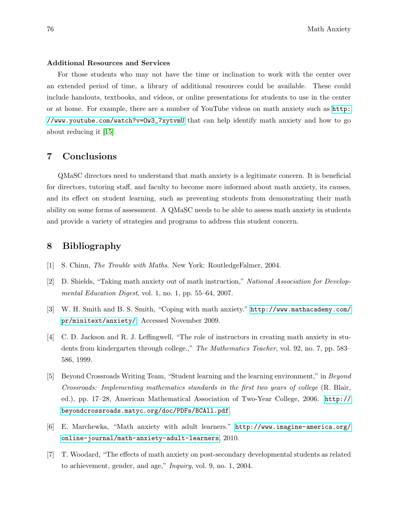#### Additional Resources and Services

For those students who may not have the time or inclination to work with the center over an extended period of time, a library of additional resources could be available. These could include handouts, textbooks, and videos, or online presentations for students to use in the center or at home. For example, there are a number of YouTube videos on math anxiety such as [http:](http://www.youtube.com/watch?v=Ow3_7xytvmU) [//www.youtube.com/watch?v=Ow3\\_7xytvmU](http://www.youtube.com/watch?v=Ow3_7xytvmU) that can help identify math anxiety and how to go about reducing it [15].

### 7 Conclusions

QMaSC directors need to understand that math anxiety is a legitimate concern. It is beneficial for directors, tutoring staff, and faculty to become more informed about math anxiety, its causes, and its effect on student learning, such as preventing students from demonstrating their math ability on some forms of assessment. A QMaSC needs to be able to assess math anxiety in students and provide a variety of strategies and programs to address this student concern.

# 8 Bibliography

- [1] S. Chinn, The Trouble with Maths. New York: RoutledgeFalmer, 2004.
- [2] D. Shields, "Taking math anxiety out of math instruction," National Association for Developmental Education Digest, vol. 1, no. 1, pp. 55–64, 2007.
- [3] W. H. Smith and B. S. Smith, "Coping with math anxiety." [http://www.mathacademy.com/](http://www.mathacademy.com/pr/minitext/anxiety/) [pr/minitext/anxiety/](http://www.mathacademy.com/pr/minitext/anxiety/). Accessed November 2009.
- [4] C. D. Jackson and R. J. Leffingwell, "The role of instructors in creating math anxiety in students from kindergarten through college.," The Mathematics Teacher, vol. 92, no. 7, pp. 583– 586, 1999.
- [5] Beyond Crossroads Writing Team, "Student learning and the learning environment," in Beyond Crossroads: Implementing mathematics standards in the first two years of college (R. Blair, ed.), pp. 17–28, American Mathematical Association of Two-Year College, 2006. [http://](http://beyondcrossroads.matyc.org/doc/PDFs/BCAll.pdf) [beyondcrossroads.matyc.org/doc/PDFs/BCAll.pdf](http://beyondcrossroads.matyc.org/doc/PDFs/BCAll.pdf).
- [6] E. Marchewka, "Math anxiety with adult learners." [http://www.imagine-america.org/](http://www.imagine-america.org/online-journal/math-anxiety-adult-learners) [online-journal/math-anxiety-adult-learners](http://www.imagine-america.org/online-journal/math-anxiety-adult-learners), 2010.
- [7] T. Woodard, "The effects of math anxiety on post-secondary developmental students as related to achievement, gender, and age," Inquiry, vol. 9, no. 1, 2004.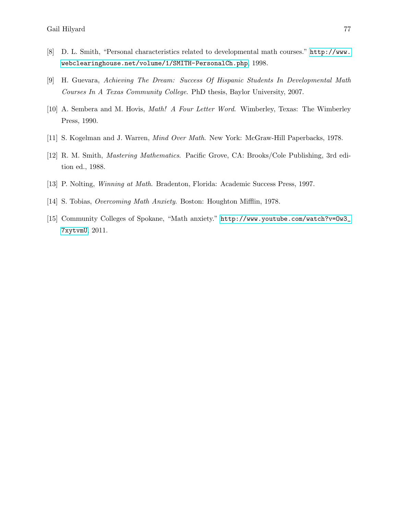- [8] D. L. Smith, "Personal characteristics related to developmental math courses." [http://www.](http://www.webclearinghouse.net/volume/1/SMITH-PersonalCh.php) [webclearinghouse.net/volume/1/SMITH-PersonalCh.php](http://www.webclearinghouse.net/volume/1/SMITH-PersonalCh.php), 1998.
- [9] H. Guevara, Achieving The Dream: Success Of Hispanic Students In Developmental Math Courses In A Texas Community College. PhD thesis, Baylor University, 2007.
- [10] A. Sembera and M. Hovis, Math! A Four Letter Word. Wimberley, Texas: The Wimberley Press, 1990.
- [11] S. Kogelman and J. Warren, Mind Over Math. New York: McGraw-Hill Paperbacks, 1978.
- [12] R. M. Smith, Mastering Mathematics. Pacific Grove, CA: Brooks/Cole Publishing, 3rd edition ed., 1988.
- [13] P. Nolting, Winning at Math. Bradenton, Florida: Academic Success Press, 1997.
- [14] S. Tobias, Overcoming Math Anxiety. Boston: Houghton Mifflin, 1978.
- [15] Community Colleges of Spokane, "Math anxiety." [http://www.youtube.com/watch?v=Ow3\\_](http://www.youtube.com/watch?v=Ow3_7xytvmU) [7xytvmU](http://www.youtube.com/watch?v=Ow3_7xytvmU), 2011.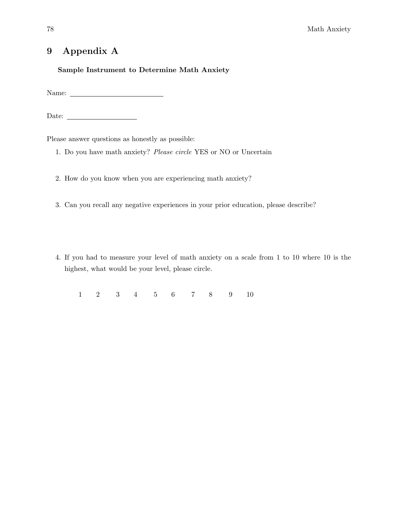# 9 Appendix A

### Sample Instrument to Determine Math Anxiety

Name:

Date:

Please answer questions as honestly as possible:

- 1. Do you have math anxiety? Please circle YES or NO or Uncertain
- 2. How do you know when you are experiencing math anxiety?
- 3. Can you recall any negative experiences in your prior education, please describe?
- 4. If you had to measure your level of math anxiety on a scale from 1 to 10 where 10 is the highest, what would be your level, please circle.

1 2 3 4 5 6 7 8 9 10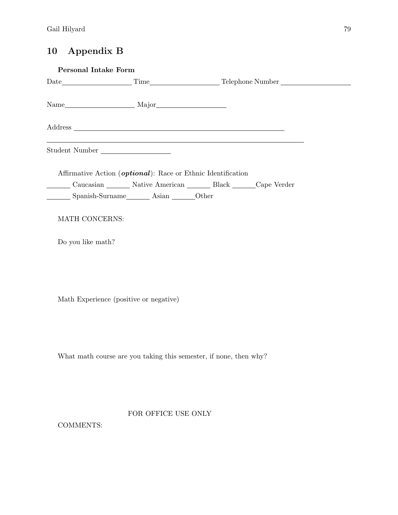# 10 Appendix B

| Personal Intake Form |                                                                                  |  |  |  |  |
|----------------------|----------------------------------------------------------------------------------|--|--|--|--|
|                      |                                                                                  |  |  |  |  |
|                      |                                                                                  |  |  |  |  |
|                      |                                                                                  |  |  |  |  |
|                      | ,我们也不会有什么。""我们的人,我们也不会有什么?""我们的人,我们也不会有什么?""我们的人,我们也不会有什么?""我们的人,我们也不会有什么?""我们的人 |  |  |  |  |
| Student Number       |                                                                                  |  |  |  |  |
|                      | Affirmative Action ( <i>optional</i> ): Race or Ethnic Identification            |  |  |  |  |
|                      | Caucasian ________ Native American _______ Black _______ Cape Verder             |  |  |  |  |
|                      |                                                                                  |  |  |  |  |
| MATH CONCERNS:       |                                                                                  |  |  |  |  |
| Do you like math?    |                                                                                  |  |  |  |  |
|                      |                                                                                  |  |  |  |  |
|                      |                                                                                  |  |  |  |  |
|                      | Math Experience (positive or negative)                                           |  |  |  |  |
|                      |                                                                                  |  |  |  |  |
|                      |                                                                                  |  |  |  |  |
|                      | What math course are you taking this semester, if none, then why?                |  |  |  |  |
|                      |                                                                                  |  |  |  |  |
|                      |                                                                                  |  |  |  |  |
|                      | FOR OFFICE USE ONLY                                                              |  |  |  |  |
| <b>COMMENTS:</b>     |                                                                                  |  |  |  |  |
|                      |                                                                                  |  |  |  |  |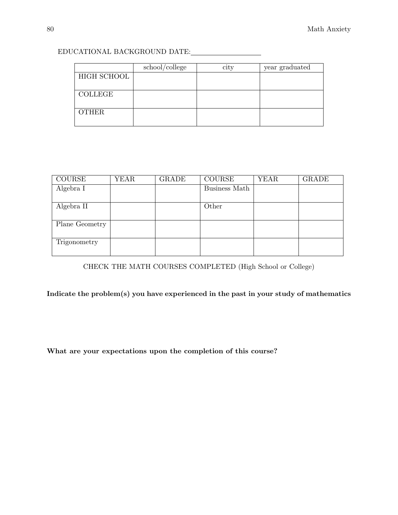|                | school/college | city | year graduated |
|----------------|----------------|------|----------------|
| HIGH SCHOOL    |                |      |                |
|                |                |      |                |
| <b>COLLEGE</b> |                |      |                |
|                |                |      |                |
| <b>OTHER</b>   |                |      |                |
|                |                |      |                |

# EDUCATIONAL BACKGROUND DATE:

| <b>COURSE</b>  | YEAR | <b>GRADE</b> | <b>COURSE</b> | <b>YEAR</b> | <b>GRADE</b> |
|----------------|------|--------------|---------------|-------------|--------------|
| Algebra I      |      |              | Business Math |             |              |
| Algebra II     |      |              | Other         |             |              |
| Plane Geometry |      |              |               |             |              |
| Trigonometry   |      |              |               |             |              |

CHECK THE MATH COURSES COMPLETED (High School or College)

Indicate the problem(s) you have experienced in the past in your study of mathematics

What are your expectations upon the completion of this course?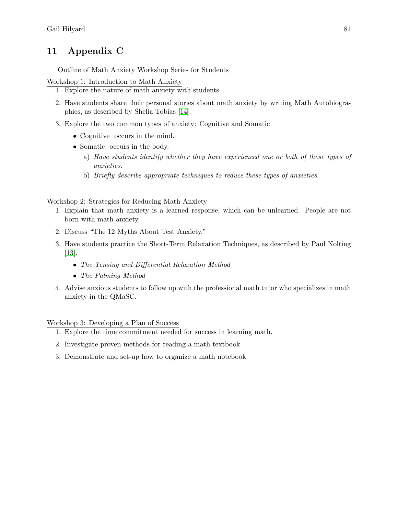# 11 Appendix C

Outline of Math Anxiety Workshop Series for Students

Workshop 1: Introduction to Math Anxiety

- 1. Explore the nature of math anxiety with students.
- 2. Have students share their personal stories about math anxiety by writing Math Autobiographies, as described by Shelia Tobias [14].
- 3. Explore the two common types of anxiety: Cognitive and Somatic
	- Cognitive occurs in the mind.
	- Somatic occurs in the body.
		- a) Have students identify whether they have experienced one or both of these types of anxieties.
		- b) Briefly describe appropriate techniques to reduce these types of anxieties.

### Workshop 2: Strategies for Reducing Math Anxiety

- 1. Explain that math anxiety is a learned response, which can be unlearned. People are not born with math anxiety.
- 2. Discuss "The 12 Myths About Test Anxiety."
- 3. Have students practice the Short-Term Relaxation Techniques, as described by Paul Nolting [13].
	- The Tensing and Differential Relaxation Method
	- The Palming Method
- 4. Advise anxious students to follow up with the professional math tutor who specializes in math anxiety in the QMaSC.

Workshop 3: Developing a Plan of Success

- 1. Explore the time commitment needed for success in learning math.
- 2. Investigate proven methods for reading a math textbook.
- 3. Demonstrate and set-up how to organize a math notebook